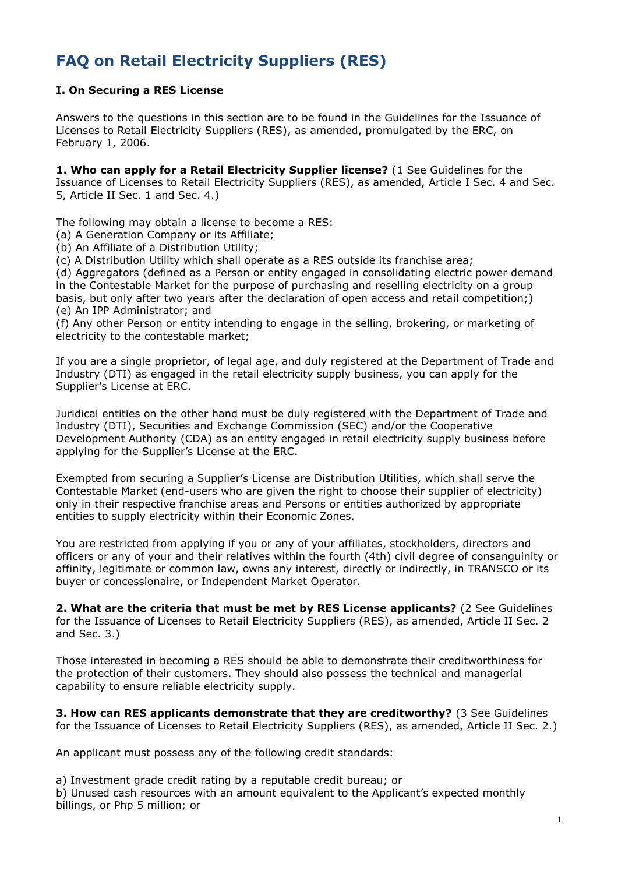# **FAQ on Retail Electricity Suppliers (RES)**

## **I. On Securing a RES License**

Answers to the questions in this section are to be found in the Guidelines for the Issuance of Licenses to Retail Electricity Suppliers (RES), as amended, promulgated by the ERC, on February 1, 2006.

**1. Who can apply for a Retail Electricity Supplier license?** (1 See Guidelines for the Issuance of Licenses to Retail Electricity Suppliers (RES), as amended, Article I Sec. 4 and Sec. 5, Article II Sec. 1 and Sec. 4.)

The following may obtain a license to become a RES:

(a) A Generation Company or its Affiliate;

(b) An Affiliate of a Distribution Utility;

(c) A Distribution Utility which shall operate as a RES outside its franchise area;

(d) Aggregators (defined as a Person or entity engaged in consolidating electric power demand in the Contestable Market for the purpose of purchasing and reselling electricity on a group basis, but only after two years after the declaration of open access and retail competition;) (e) An IPP Administrator; and

(f) Any other Person or entity intending to engage in the selling, brokering, or marketing of electricity to the contestable market;

If you are a single proprietor, of legal age, and duly registered at the Department of Trade and Industry (DTI) as engaged in the retail electricity supply business, you can apply for the Supplier's License at ERC.

Juridical entities on the other hand must be duly registered with the Department of Trade and Industry (DTI), Securities and Exchange Commission (SEC) and/or the Cooperative Development Authority (CDA) as an entity engaged in retail electricity supply business before applying for the Supplier's License at the ERC.

Exempted from securing a Supplier's License are Distribution Utilities, which shall serve the Contestable Market (end-users who are given the right to choose their supplier of electricity) only in their respective franchise areas and Persons or entities authorized by appropriate entities to supply electricity within their Economic Zones.

You are restricted from applying if you or any of your affiliates, stockholders, directors and officers or any of your and their relatives within the fourth (4th) civil degree of consanguinity or affinity, legitimate or common law, owns any interest, directly or indirectly, in TRANSCO or its buyer or concessionaire, or Independent Market Operator.

**2. What are the criteria that must be met by RES License applicants?** (2 See Guidelines for the Issuance of Licenses to Retail Electricity Suppliers (RES), as amended, Article II Sec. 2 and Sec. 3.)

Those interested in becoming a RES should be able to demonstrate their creditworthiness for the protection of their customers. They should also possess the technical and managerial capability to ensure reliable electricity supply.

**3. How can RES applicants demonstrate that they are creditworthy?** (3 See Guidelines for the Issuance of Licenses to Retail Electricity Suppliers (RES), as amended, Article II Sec. 2.)

An applicant must possess any of the following credit standards:

a) Investment grade credit rating by a reputable credit bureau; or

b) Unused cash resources with an amount equivalent to the Applicant's expected monthly billings, or Php 5 million; or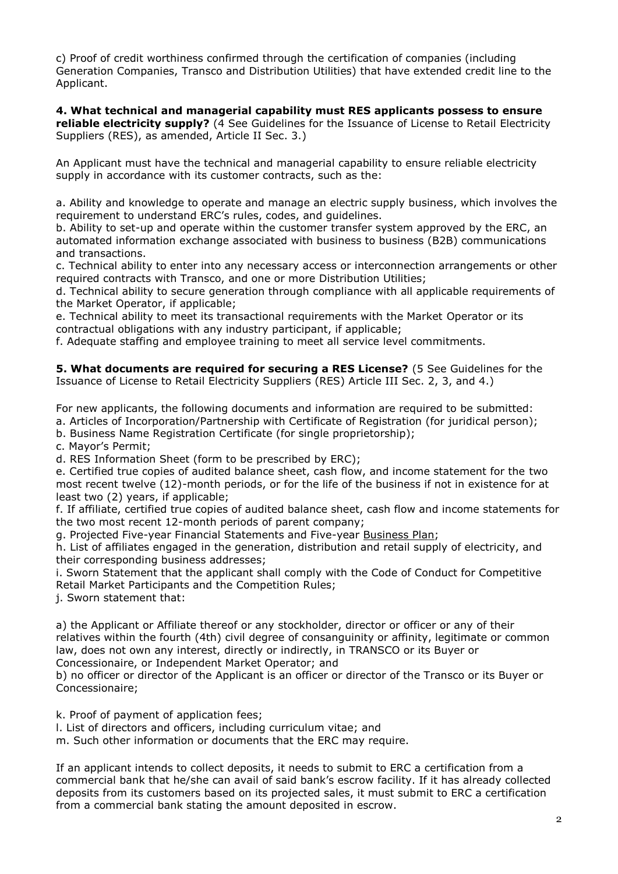c) Proof of credit worthiness confirmed through the certification of companies (including Generation Companies, Transco and Distribution Utilities) that have extended credit line to the Applicant.

**4. What technical and managerial capability must RES applicants possess to ensure reliable electricity supply?** (4 See Guidelines for the Issuance of License to Retail Electricity Suppliers (RES), as amended, Article II Sec. 3.)

An Applicant must have the technical and managerial capability to ensure reliable electricity supply in accordance with its customer contracts, such as the:

a. Ability and knowledge to operate and manage an electric supply business, which involves the requirement to understand ERC's rules, codes, and guidelines.

b. Ability to set-up and operate within the customer transfer system approved by the ERC, an automated information exchange associated with business to business (B2B) communications and transactions.

c. Technical ability to enter into any necessary access or interconnection arrangements or other required contracts with Transco, and one or more Distribution Utilities;

d. Technical ability to secure generation through compliance with all applicable requirements of the Market Operator, if applicable;

e. Technical ability to meet its transactional requirements with the Market Operator or its contractual obligations with any industry participant, if applicable;

f. Adequate staffing and employee training to meet all service level commitments.

**5. What documents are required for securing a RES License?** (5 See Guidelines for the Issuance of License to Retail Electricity Suppliers (RES) Article III Sec. 2, 3, and 4.)

For new applicants, the following documents and information are required to be submitted:

a. Articles of Incorporation/Partnership with Certificate of Registration (for juridical person);

b. Business Name Registration Certificate (for single proprietorship);

c. Mayor's Permit;

d. RES Information Sheet (form to be prescribed by ERC);

e. Certified true copies of audited balance sheet, cash flow, and income statement for the two most recent twelve (12)-month periods, or for the life of the business if not in existence for at least two (2) years, if applicable;

f. If affiliate, certified true copies of audited balance sheet, cash flow and income statements for the two most recent 12-month periods of parent company;

g. Projected Five-year Financial Statements and Five-year [Business Plan;](http://www.erc.gov.ph/new/pdf/Form%20%203%20-%20Outline%20for%20a%205-Yr%20Bus.%20Plan.pdf)

h. List of affiliates engaged in the generation, distribution and retail supply of electricity, and their corresponding business addresses;

i. Sworn Statement that the applicant shall comply with the Code of Conduct for Competitive Retail Market Participants and the Competition Rules;

j. Sworn statement that:

a) the Applicant or Affiliate thereof or any stockholder, director or officer or any of their relatives within the fourth (4th) civil degree of consanguinity or affinity, legitimate or common law, does not own any interest, directly or indirectly, in TRANSCO or its Buyer or Concessionaire, or Independent Market Operator; and

b) no officer or director of the Applicant is an officer or director of the Transco or its Buyer or

Concessionaire;

k. Proof of payment of application fees;

l. List of directors and officers, including curriculum vitae; and

m. Such other information or documents that the ERC may require.

If an applicant intends to collect deposits, it needs to submit to ERC a certification from a commercial bank that he/she can avail of said bank's escrow facility. If it has already collected deposits from its customers based on its projected sales, it must submit to ERC a certification from a commercial bank stating the amount deposited in escrow.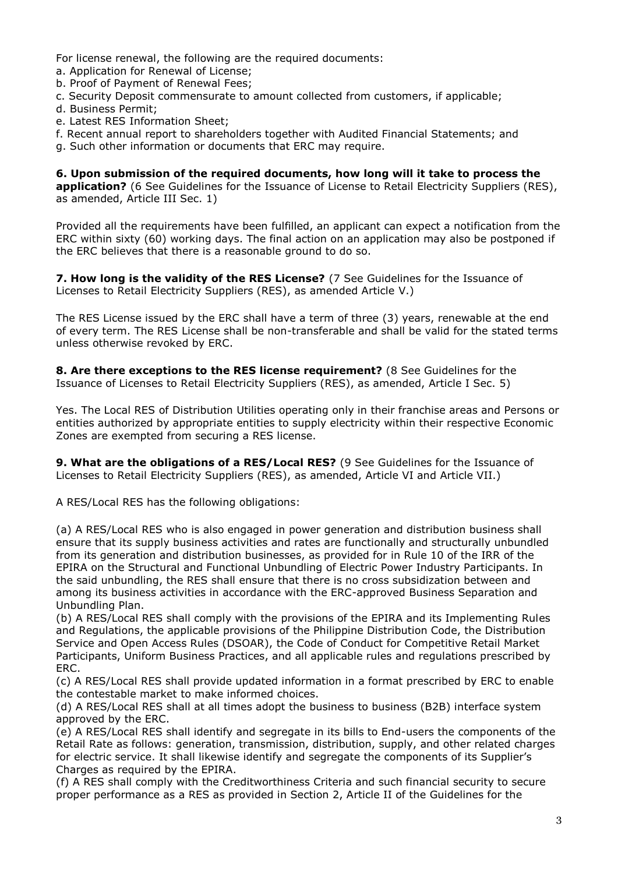For license renewal, the following are the required documents:

- a. Application for Renewal of License;
- b. Proof of Payment of Renewal Fees;
- c. Security Deposit commensurate to amount collected from customers, if applicable;
- d. Business Permit;
- e. Latest RES Information Sheet;
- f. Recent annual report to shareholders together with Audited Financial Statements; and
- g. Such other information or documents that ERC may require.

**6. Upon submission of the required documents, how long will it take to process the application?** (6 See Guidelines for the Issuance of License to Retail Electricity Suppliers (RES), as amended, Article III Sec. 1)

Provided all the requirements have been fulfilled, an applicant can expect a notification from the ERC within sixty (60) working days. The final action on an application may also be postponed if the ERC believes that there is a reasonable ground to do so.

**7. How long is the validity of the RES License?** (7 See Guidelines for the Issuance of Licenses to Retail Electricity Suppliers (RES), as amended Article V.)

The RES License issued by the ERC shall have a term of three (3) years, renewable at the end of every term. The RES License shall be non-transferable and shall be valid for the stated terms unless otherwise revoked by ERC.

**8. Are there exceptions to the RES license requirement?** (8 See Guidelines for the Issuance of Licenses to Retail Electricity Suppliers (RES), as amended, Article I Sec. 5)

Yes. The Local RES of Distribution Utilities operating only in their franchise areas and Persons or entities authorized by appropriate entities to supply electricity within their respective Economic Zones are exempted from securing a RES license.

**9. What are the obligations of a RES/Local RES?** (9 See Guidelines for the Issuance of Licenses to Retail Electricity Suppliers (RES), as amended, Article VI and Article VII.)

A RES/Local RES has the following obligations:

(a) A RES/Local RES who is also engaged in power generation and distribution business shall ensure that its supply business activities and rates are functionally and structurally unbundled from its generation and distribution businesses, as provided for in Rule 10 of the IRR of the EPIRA on the Structural and Functional Unbundling of Electric Power Industry Participants. In the said unbundling, the RES shall ensure that there is no cross subsidization between and among its business activities in accordance with the ERC-approved Business Separation and Unbundling Plan.

(b) A RES/Local RES shall comply with the provisions of the EPIRA and its Implementing Rules and Regulations, the applicable provisions of the Philippine Distribution Code, the Distribution Service and Open Access Rules (DSOAR), the Code of Conduct for Competitive Retail Market Participants, Uniform Business Practices, and all applicable rules and regulations prescribed by ERC.

(c) A RES/Local RES shall provide updated information in a format prescribed by ERC to enable the contestable market to make informed choices.

(d) A RES/Local RES shall at all times adopt the business to business (B2B) interface system approved by the ERC.

(e) A RES/Local RES shall identify and segregate in its bills to End-users the components of the Retail Rate as follows: generation, transmission, distribution, supply, and other related charges for electric service. It shall likewise identify and segregate the components of its Supplier's Charges as required by the EPIRA.

(f) A RES shall comply with the Creditworthiness Criteria and such financial security to secure proper performance as a RES as provided in Section 2, Article II of the Guidelines for the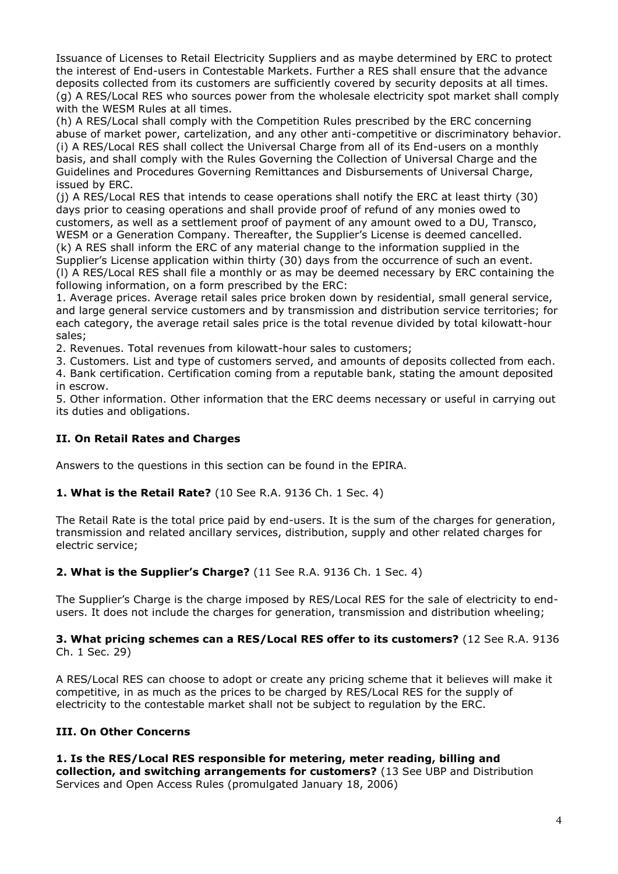Issuance of Licenses to Retail Electricity Suppliers and as maybe determined by ERC to protect the interest of End-users in Contestable Markets. Further a RES shall ensure that the advance deposits collected from its customers are sufficiently covered by security deposits at all times. (g) A RES/Local RES who sources power from the wholesale electricity spot market shall comply with the WESM Rules at all times.

(h) A RES/Local shall comply with the Competition Rules prescribed by the ERC concerning abuse of market power, cartelization, and any other anti-competitive or discriminatory behavior. (i) A RES/Local RES shall collect the Universal Charge from all of its End-users on a monthly basis, and shall comply with the Rules Governing the Collection of Universal Charge and the Guidelines and Procedures Governing Remittances and Disbursements of Universal Charge, issued by ERC.

(j) A RES/Local RES that intends to cease operations shall notify the ERC at least thirty (30) days prior to ceasing operations and shall provide proof of refund of any monies owed to customers, as well as a settlement proof of payment of any amount owed to a DU, Transco, WESM or a Generation Company. Thereafter, the Supplier's License is deemed cancelled. (k) A RES shall inform the ERC of any material change to the information supplied in the Supplier's License application within thirty (30) days from the occurrence of such an event. (l) A RES/Local RES shall file a monthly or as may be deemed necessary by ERC containing the following information, on a form prescribed by the ERC:

1. Average prices. Average retail sales price broken down by residential, small general service, and large general service customers and by transmission and distribution service territories; for each category, the average retail sales price is the total revenue divided by total kilowatt-hour sales;

2. Revenues. Total revenues from kilowatt-hour sales to customers;

3. Customers. List and type of customers served, and amounts of deposits collected from each. 4. Bank certification. Certification coming from a reputable bank, stating the amount deposited in escrow.

5. Other information. Other information that the ERC deems necessary or useful in carrying out its duties and obligations.

## **II. On Retail Rates and Charges**

Answers to the questions in this section can be found in the EPIRA.

## **1. What is the Retail Rate?** (10 See R.A. 9136 Ch. 1 Sec. 4)

The Retail Rate is the total price paid by end-users. It is the sum of the charges for generation, transmission and related ancillary services, distribution, supply and other related charges for electric service;

## **2. What is the Supplier's Charge?** (11 See R.A. 9136 Ch. 1 Sec. 4)

The Supplier's Charge is the charge imposed by RES/Local RES for the sale of electricity to endusers. It does not include the charges for generation, transmission and distribution wheeling;

#### **3. What pricing schemes can a RES/Local RES offer to its customers?** (12 See R.A. 9136 Ch. 1 Sec. 29)

A RES/Local RES can choose to adopt or create any pricing scheme that it believes will make it competitive, in as much as the prices to be charged by RES/Local RES for the supply of electricity to the contestable market shall not be subject to regulation by the ERC.

## **III. On Other Concerns**

#### **1. Is the RES/Local RES responsible for metering, meter reading, billing and collection, and switching arrangements for customers?** (13 See UBP and Distribution Services and Open Access Rules (promulgated January 18, 2006)